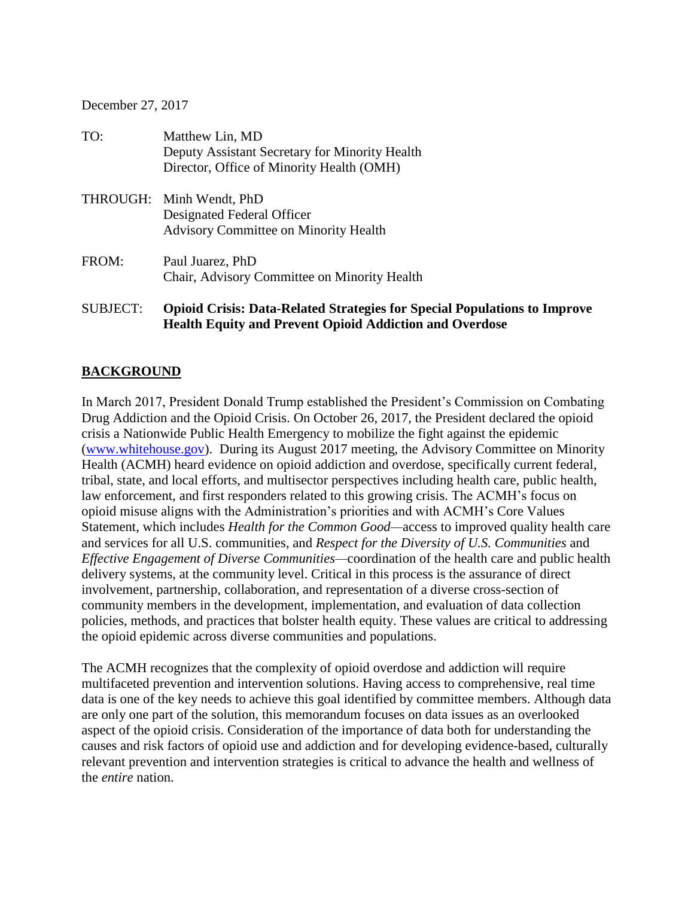#### December 27, 2017

| TO:      | Matthew Lin, MD<br>Deputy Assistant Secretary for Minority Health<br>Director, Office of Minority Health (OMH) |
|----------|----------------------------------------------------------------------------------------------------------------|
|          | THROUGH: Minh Wendt, PhD<br>Designated Federal Officer<br><b>Advisory Committee on Minority Health</b>         |
| FROM:    | Paul Juarez, PhD<br>Chair, Advisory Committee on Minority Health                                               |
| SUBJECT: | <b>Opioid Crisis: Data-Related Strategies for Special</b>                                                      |

# **Rated Strategies for Special Populations to Improve Health Equity and Prevent Opioid Addiction and Overdose**

#### **BACKGROUND**

In March 2017, President Donald Trump established the President's Commission on Combating Drug Addiction and the Opioid Crisis. On October 26, 2017, the President declared the opioid crisis a Nationwide Public Health Emergency to mobilize the fight against the epidemic [\(www.whitehouse.gov\)](http://www.whitehouse.gov/). During its August 2017 meeting, the Advisory Committee on Minority Health (ACMH) heard evidence on opioid addiction and overdose, specifically current federal, tribal, state, and local efforts, and multisector perspectives including health care, public health, law enforcement, and first responders related to this growing crisis. The ACMH's focus on opioid misuse aligns with the Administration's priorities and with ACMH's Core Values Statement, which includes *Health for the Common Good—*access to improved quality health care and services for all U.S. communities, and *Respect for the Diversity of U.S. Communities* and *Effective Engagement of Diverse Communities—*coordination of the health care and public health delivery systems, at the community level. Critical in this process is the assurance of direct involvement, partnership, collaboration, and representation of a diverse cross-section of community members in the development, implementation, and evaluation of data collection policies, methods, and practices that bolster health equity. These values are critical to addressing the opioid epidemic across diverse communities and populations.

The ACMH recognizes that the complexity of opioid overdose and addiction will require multifaceted prevention and intervention solutions. Having access to comprehensive, real time data is one of the key needs to achieve this goal identified by committee members. Although data are only one part of the solution, this memorandum focuses on data issues as an overlooked aspect of the opioid crisis. Consideration of the importance of data both for understanding the causes and risk factors of opioid use and addiction and for developing evidence-based, culturally relevant prevention and intervention strategies is critical to advance the health and wellness of the *entire* nation.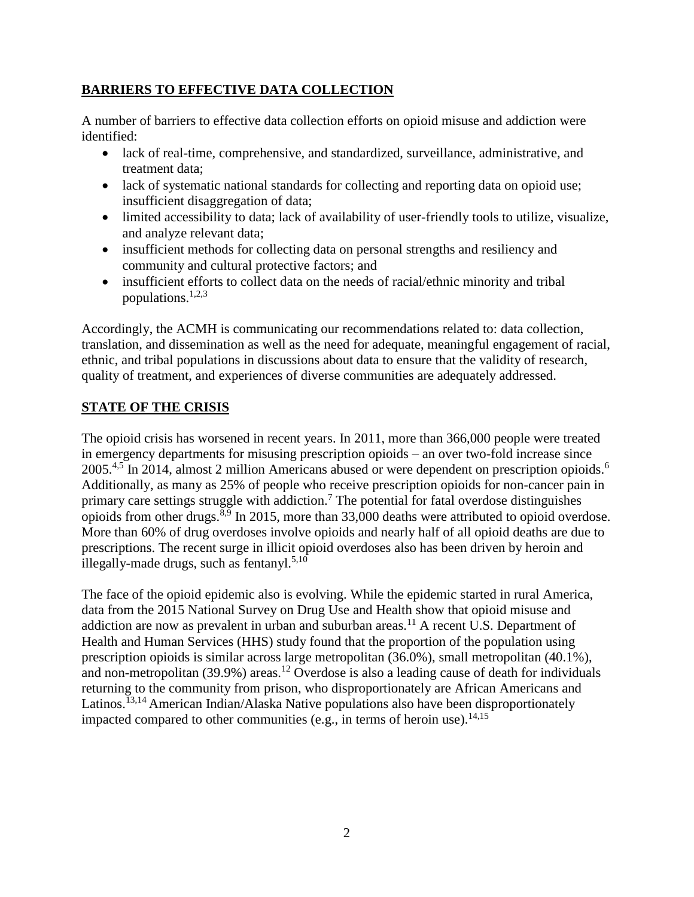### **BARRIERS TO EFFECTIVE DATA COLLECTION**

A number of barriers to effective data collection efforts on opioid misuse and addiction were identified:

- lack of real-time, comprehensive, and standardized, surveillance, administrative, and treatment data;
- lack of systematic national standards for collecting and reporting data on opioid use; insufficient disaggregation of data;
- limited accessibility to data; lack of availability of user-friendly tools to utilize, visualize, and analyze relevant data;
- insufficient methods for collecting data on personal strengths and resiliency and community and cultural protective factors; and
- insufficient efforts to collect data on the needs of racial/ethnic minority and tribal populations. $1,2,3$

Accordingly, the ACMH is communicating our recommendations related to: data collection, translation, and dissemination as well as the need for adequate, meaningful engagement of racial, ethnic, and tribal populations in discussions about data to ensure that the validity of research, quality of treatment, and experiences of diverse communities are adequately addressed.

## **STATE OF THE CRISIS**

The opioid crisis has worsened in recent years. In 2011, more than 366,000 people were treated in emergency departments for misusing prescription opioids – an over two-fold increase since 2005.<sup>4,5</sup> In 2014, almost 2 million Americans abused or were dependent on prescription opioids.<sup>6</sup> Additionally, as many as 25% of people who receive prescription opioids for non-cancer pain in primary care settings struggle with addiction.<sup>7</sup> The potential for fatal overdose distinguishes opioids from other drugs.<sup>8,9</sup> In 2015, more than 33,000 deaths were attributed to opioid overdose. More than 60% of drug overdoses involve opioids and nearly half of all opioid deaths are due to prescriptions. The recent surge in illicit opioid overdoses also has been driven by heroin and illegally-made drugs, such as fentanyl.<sup>5,10</sup>

The face of the opioid epidemic also is evolving. While the epidemic started in rural America, data from the 2015 National Survey on Drug Use and Health show that opioid misuse and addiction are now as prevalent in urban and suburban areas.<sup>11</sup> A recent U.S. Department of Health and Human Services (HHS) study found that the proportion of the population using prescription opioids is similar across large metropolitan (36.0%), small metropolitan (40.1%), and non-metropolitan (39.9%) areas.<sup>12</sup> Overdose is also a leading cause of death for individuals returning to the community from prison, who disproportionately are African Americans and Latinos.<sup>13,14</sup> American Indian/Alaska Native populations also have been disproportionately impacted compared to other communities (e.g., in terms of heroin use).<sup>14,15</sup>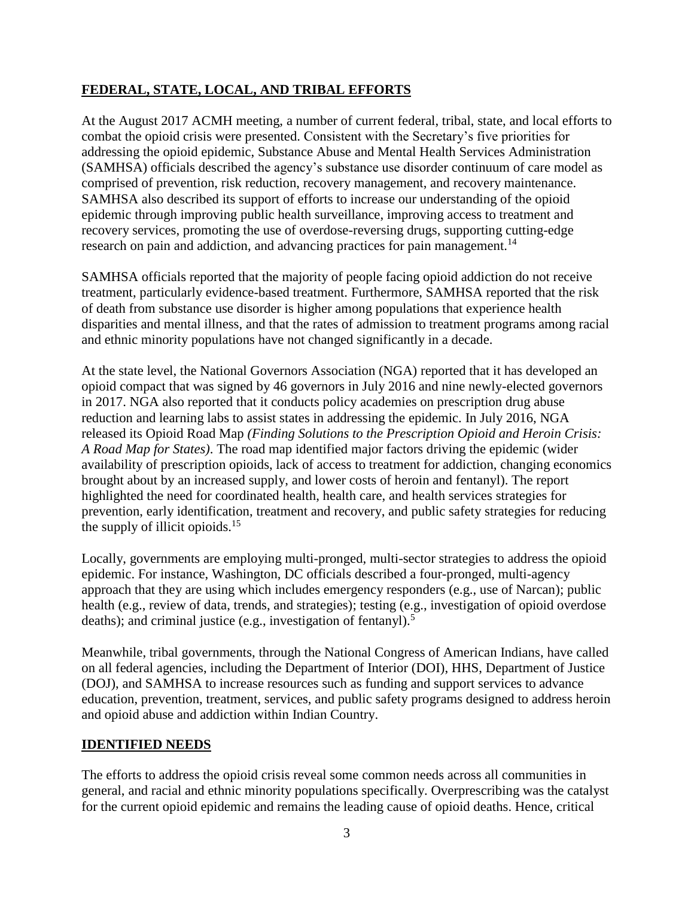### **FEDERAL, STATE, LOCAL, AND TRIBAL EFFORTS**

At the August 2017 ACMH meeting, a number of current federal, tribal, state, and local efforts to combat the opioid crisis were presented. Consistent with the Secretary's five priorities for addressing the opioid epidemic, Substance Abuse and Mental Health Services Administration (SAMHSA) officials described the agency's substance use disorder continuum of care model as comprised of prevention, risk reduction, recovery management, and recovery maintenance. SAMHSA also described its support of efforts to increase our understanding of the opioid epidemic through improving public health surveillance, improving access to treatment and recovery services, promoting the use of overdose-reversing drugs, supporting cutting-edge research on pain and addiction, and advancing practices for pain management.<sup>14</sup>

SAMHSA officials reported that the majority of people facing opioid addiction do not receive treatment, particularly evidence-based treatment. Furthermore, SAMHSA reported that the risk of death from substance use disorder is higher among populations that experience health disparities and mental illness, and that the rates of admission to treatment programs among racial and ethnic minority populations have not changed significantly in a decade.

At the state level, the National Governors Association (NGA) reported that it has developed an opioid compact that was signed by 46 governors in July 2016 and nine newly-elected governors in 2017. NGA also reported that it conducts policy academies on prescription drug abuse reduction and learning labs to assist states in addressing the epidemic. In July 2016, NGA released its Opioid Road Map *(Finding Solutions to the Prescription Opioid and Heroin Crisis: A Road Map for States)*. The road map identified major factors driving the epidemic (wider availability of prescription opioids, lack of access to treatment for addiction, changing economics brought about by an increased supply, and lower costs of heroin and fentanyl). The report highlighted the need for coordinated health, health care, and health services strategies for prevention, early identification, treatment and recovery, and public safety strategies for reducing the supply of illicit opioids. $15$ 

Locally, governments are employing multi-pronged, multi-sector strategies to address the opioid epidemic. For instance, Washington, DC officials described a four-pronged, multi-agency approach that they are using which includes emergency responders (e.g., use of Narcan); public health (e.g., review of data, trends, and strategies); testing (e.g., investigation of opioid overdose deaths); and criminal justice (e.g., investigation of fentanyl).<sup>5</sup>

Meanwhile, tribal governments, through the National Congress of American Indians, have called on all federal agencies, including the Department of Interior (DOI), HHS, Department of Justice (DOJ), and SAMHSA to increase resources such as funding and support services to advance education, prevention, treatment, services, and public safety programs designed to address heroin and opioid abuse and addiction within Indian Country.

#### **IDENTIFIED NEEDS**

The efforts to address the opioid crisis reveal some common needs across all communities in general, and racial and ethnic minority populations specifically. Overprescribing was the catalyst for the current opioid epidemic and remains the leading cause of opioid deaths. Hence, critical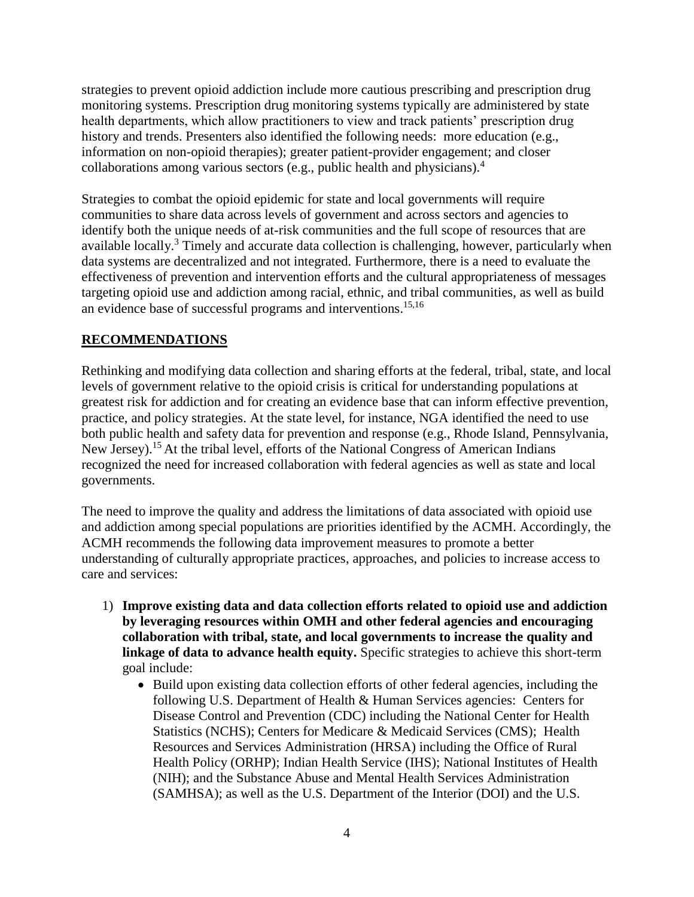strategies to prevent opioid addiction include more cautious prescribing and prescription drug monitoring systems. Prescription drug monitoring systems typically are administered by state health departments, which allow practitioners to view and track patients' prescription drug history and trends. Presenters also identified the following needs: more education (e.g., information on non-opioid therapies); greater patient-provider engagement; and closer collaborations among various sectors (e.g., public health and physicians).<sup>4</sup>

Strategies to combat the opioid epidemic for state and local governments will require communities to share data across levels of government and across sectors and agencies to identify both the unique needs of at-risk communities and the full scope of resources that are available locally.<sup>3</sup> Timely and accurate data collection is challenging, however, particularly when data systems are decentralized and not integrated. Furthermore, there is a need to evaluate the effectiveness of prevention and intervention efforts and the cultural appropriateness of messages targeting opioid use and addiction among racial, ethnic, and tribal communities, as well as build an evidence base of successful programs and interventions. 15,16

#### **RECOMMENDATIONS**

Rethinking and modifying data collection and sharing efforts at the federal, tribal, state, and local levels of government relative to the opioid crisis is critical for understanding populations at greatest risk for addiction and for creating an evidence base that can inform effective prevention, practice, and policy strategies. At the state level, for instance, NGA identified the need to use both public health and safety data for prevention and response (e.g., Rhode Island, Pennsylvania, New Jersey).<sup>15</sup> At the tribal level, efforts of the National Congress of American Indians recognized the need for increased collaboration with federal agencies as well as state and local governments.

The need to improve the quality and address the limitations of data associated with opioid use and addiction among special populations are priorities identified by the ACMH. Accordingly, the ACMH recommends the following data improvement measures to promote a better understanding of culturally appropriate practices, approaches, and policies to increase access to care and services:

- 1) **Improve existing data and data collection efforts related to opioid use and addiction by leveraging resources within OMH and other federal agencies and encouraging collaboration with tribal, state, and local governments to increase the quality and linkage of data to advance health equity.** Specific strategies to achieve this short-term goal include:
	- Build upon existing data collection efforts of other federal agencies, including the following U.S. Department of Health & Human Services agencies: Centers for Disease Control and Prevention (CDC) including the National Center for Health Statistics (NCHS); Centers for Medicare & Medicaid Services (CMS); Health Resources and Services Administration (HRSA) including the Office of Rural Health Policy (ORHP); Indian Health Service (IHS); National Institutes of Health (NIH); and the Substance Abuse and Mental Health Services Administration (SAMHSA); as well as the U.S. Department of the Interior (DOI) and the U.S.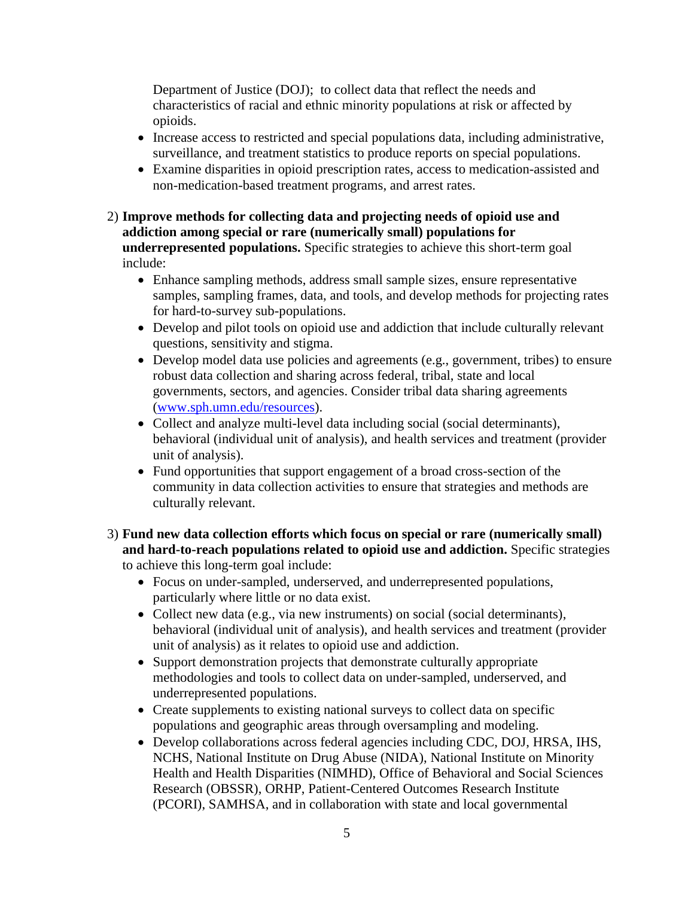Department of Justice (DOJ); to collect data that reflect the needs and characteristics of racial and ethnic minority populations at risk or affected by opioids.

- Increase access to restricted and special populations data, including administrative, surveillance, and treatment statistics to produce reports on special populations.
- Examine disparities in opioid prescription rates, access to medication-assisted and non-medication-based treatment programs, and arrest rates.
- 2) **Improve methods for collecting data and projecting needs of opioid use and addiction among special or rare (numerically small) populations for underrepresented populations.** Specific strategies to achieve this short-term goal include:
	- Enhance sampling methods, address small sample sizes, ensure representative samples, sampling frames, data, and tools, and develop methods for projecting rates for hard-to-survey sub-populations.
	- Develop and pilot tools on opioid use and addiction that include culturally relevant questions, sensitivity and stigma.
	- Develop model data use policies and agreements (e.g., government, tribes) to ensure robust data collection and sharing across federal, tribal, state and local governments, sectors, and agencies. Consider tribal data sharing agreements [\(www.sph.umn.edu/resources\)](http://www.sph.umn.edu/resources).
	- Collect and analyze multi-level data including social (social determinants), behavioral (individual unit of analysis), and health services and treatment (provider unit of analysis).
	- Fund opportunities that support engagement of a broad cross-section of the community in data collection activities to ensure that strategies and methods are culturally relevant.

#### 3) **Fund new data collection efforts which focus on special or rare (numerically small) and hard-to-reach populations related to opioid use and addiction.** Specific strategies to achieve this long-term goal include:

- Focus on under-sampled, underserved, and underrepresented populations, particularly where little or no data exist.
- Collect new data (e.g., via new instruments) on social (social determinants), behavioral (individual unit of analysis), and health services and treatment (provider unit of analysis) as it relates to opioid use and addiction.
- Support demonstration projects that demonstrate culturally appropriate methodologies and tools to collect data on under-sampled, underserved, and underrepresented populations.
- Create supplements to existing national surveys to collect data on specific populations and geographic areas through oversampling and modeling.
- Develop collaborations across federal agencies including CDC, DOJ, HRSA, IHS, NCHS, National Institute on Drug Abuse (NIDA), National Institute on Minority Health and Health Disparities (NIMHD), Office of Behavioral and Social Sciences Research (OBSSR), ORHP, Patient-Centered Outcomes Research Institute (PCORI), SAMHSA, and in collaboration with state and local governmental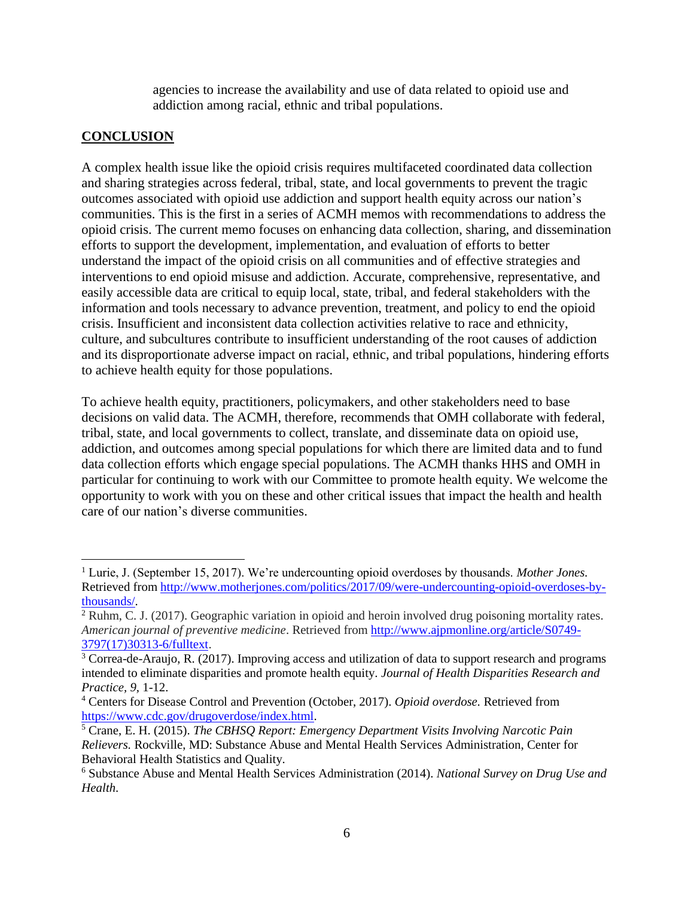agencies to increase the availability and use of data related to opioid use and addiction among racial, ethnic and tribal populations.

## **CONCLUSION**

A complex health issue like the opioid crisis requires multifaceted coordinated data collection and sharing strategies across federal, tribal, state, and local governments to prevent the tragic outcomes associated with opioid use addiction and support health equity across our nation's communities. This is the first in a series of ACMH memos with recommendations to address the opioid crisis. The current memo focuses on enhancing data collection, sharing, and dissemination efforts to support the development, implementation, and evaluation of efforts to better understand the impact of the opioid crisis on all communities and of effective strategies and interventions to end opioid misuse and addiction. Accurate, comprehensive, representative, and easily accessible data are critical to equip local, state, tribal, and federal stakeholders with the information and tools necessary to advance prevention, treatment, and policy to end the opioid crisis. Insufficient and inconsistent data collection activities relative to race and ethnicity, culture, and subcultures contribute to insufficient understanding of the root causes of addiction and its disproportionate adverse impact on racial, ethnic, and tribal populations, hindering efforts to achieve health equity for those populations.

To achieve health equity, practitioners, policymakers, and other stakeholders need to base decisions on valid data. The ACMH, therefore, recommends that OMH collaborate with federal, tribal, state, and local governments to collect, translate, and disseminate data on opioid use, addiction, and outcomes among special populations for which there are limited data and to fund data collection efforts which engage special populations. The ACMH thanks HHS and OMH in particular for continuing to work with our Committee to promote health equity. We welcome the opportunity to work with you on these and other critical issues that impact the health and health care of our nation's diverse communities.

<sup>1</sup> Lurie, J. (September 15, 2017). We're undercounting opioid overdoses by thousands. *Mother Jones.*  Retrieved fro[m http://www.motherjones.com/politics/2017/09/were-undercounting-opioid-overdoses-by](http://www.motherjones.com/politics/2017/09/were-undercounting-opioid-overdoses-by-thousands/)[thousands/.](http://www.motherjones.com/politics/2017/09/were-undercounting-opioid-overdoses-by-thousands/)  $\overline{a}$ 

<sup>&</sup>lt;sup>2</sup> Ruhm, C. J. (2017). Geographic variation in opioid and heroin involved drug poisoning mortality rates. *American journal of preventive medicine*. Retrieved from [http://www.ajpmonline.org/article/S0749-](http://www.ajpmonline.org/article/S0749-3797(17)30313-6/fulltext) [3797\(17\)30313-6/fulltext.](http://www.ajpmonline.org/article/S0749-3797(17)30313-6/fulltext)

<sup>&</sup>lt;sup>3</sup> Correa-de-Araujo, R. (2017). Improving access and utilization of data to support research and programs intended to eliminate disparities and promote health equity. *Journal of Health Disparities Research and Practice, 9,* 1-12.

<sup>4</sup> Centers for Disease Control and Prevention (October, 2017). *Opioid overdose.* Retrieved from [https://www.cdc.gov/drugoverdose/index.html.](https://www.cdc.gov/drugoverdose/index.html)

<sup>5</sup> Crane, E. H. (2015). *The CBHSQ Report: Emergency Department Visits Involving Narcotic Pain Relievers.* Rockville, MD: Substance Abuse and Mental Health Services Administration, Center for Behavioral Health Statistics and Quality.

<sup>6</sup> Substance Abuse and Mental Health Services Administration (2014). *National Survey on Drug Use and Health*.